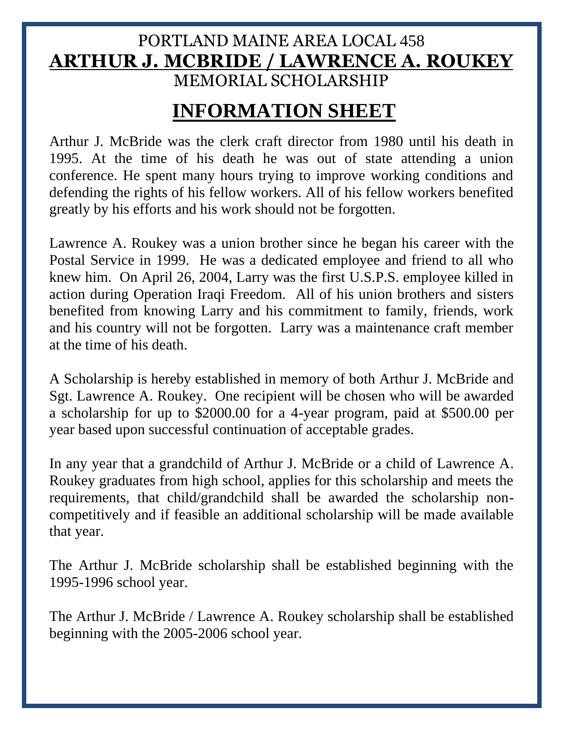#### PORTLAND MAINE AREA LOCAL 458 **ARTHUR J. MCBRIDE / LAWRENCE A. ROUKEY** MEMORIAL SCHOLARSHIP

## **INFORMATION SHEET**

Arthur J. McBride was the clerk craft director from 1980 until his death in 1995. At the time of his death he was out of state attending a union conference. He spent many hours trying to improve working conditions and defending the rights of his fellow workers. All of his fellow workers benefited greatly by his efforts and his work should not be forgotten.

Lawrence A. Roukey was a union brother since he began his career with the Postal Service in 1999. He was a dedicated employee and friend to all who knew him. On April 26, 2004, Larry was the first U.S.P.S. employee killed in action during Operation Iraqi Freedom. All of his union brothers and sisters benefited from knowing Larry and his commitment to family, friends, work and his country will not be forgotten. Larry was a maintenance craft member at the time of his death.

A Scholarship is hereby established in memory of both Arthur J. McBride and Sgt. Lawrence A. Roukey. One recipient will be chosen who will be awarded a scholarship for up to \$2000.00 for a 4-year program, paid at \$500.00 per year based upon successful continuation of acceptable grades.

In any year that a grandchild of Arthur J. McBride or a child of Lawrence A. Roukey graduates from high school, applies for this scholarship and meets the requirements, that child/grandchild shall be awarded the scholarship noncompetitively and if feasible an additional scholarship will be made available that year.

The Arthur J. McBride scholarship shall be established beginning with the 1995-1996 school year.

The Arthur J. McBride / Lawrence A. Roukey scholarship shall be established beginning with the 2005-2006 school year.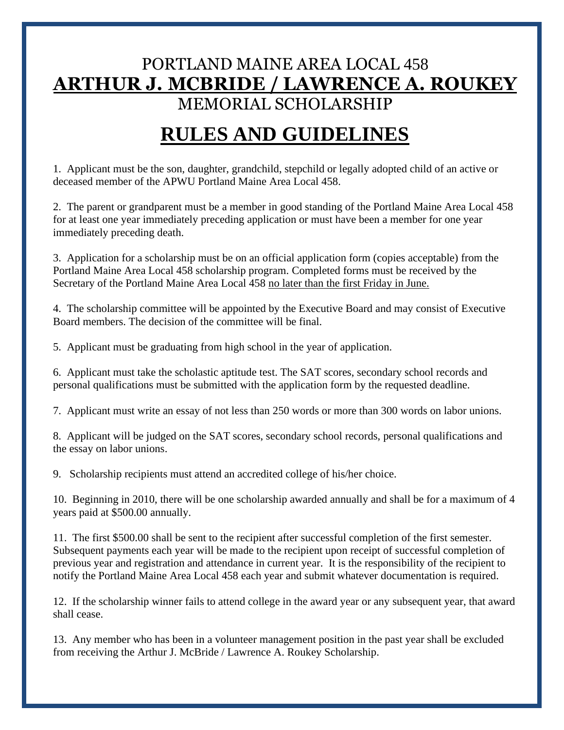### PORTLAND MAINE AREA LOCAL 458 **ARTHUR J. MCBRIDE / LAWRENCE A. ROUKEY** MEMORIAL SCHOLARSHIP

# **RULES AND GUIDELINES**

1. Applicant must be the son, daughter, grandchild, stepchild or legally adopted child of an active or deceased member of the APWU Portland Maine Area Local 458.

2. The parent or grandparent must be a member in good standing of the Portland Maine Area Local 458 for at least one year immediately preceding application or must have been a member for one year immediately preceding death.

3. Application for a scholarship must be on an official application form (copies acceptable) from the Portland Maine Area Local 458 scholarship program. Completed forms must be received by the Secretary of the Portland Maine Area Local 458 no later than the first Friday in June.

4. The scholarship committee will be appointed by the Executive Board and may consist of Executive Board members. The decision of the committee will be final.

5. Applicant must be graduating from high school in the year of application.

6. Applicant must take the scholastic aptitude test. The SAT scores, secondary school records and personal qualifications must be submitted with the application form by the requested deadline.

7. Applicant must write an essay of not less than 250 words or more than 300 words on labor unions.

8. Applicant will be judged on the SAT scores, secondary school records, personal qualifications and the essay on labor unions.

9. Scholarship recipients must attend an accredited college of his/her choice.

10. Beginning in 2010, there will be one scholarship awarded annually and shall be for a maximum of 4 years paid at \$500.00 annually.

11. The first \$500.00 shall be sent to the recipient after successful completion of the first semester. Subsequent payments each year will be made to the recipient upon receipt of successful completion of previous year and registration and attendance in current year. It is the responsibility of the recipient to notify the Portland Maine Area Local 458 each year and submit whatever documentation is required.

12. If the scholarship winner fails to attend college in the award year or any subsequent year, that award shall cease.

13. Any member who has been in a volunteer management position in the past year shall be excluded from receiving the Arthur J. McBride / Lawrence A. Roukey Scholarship.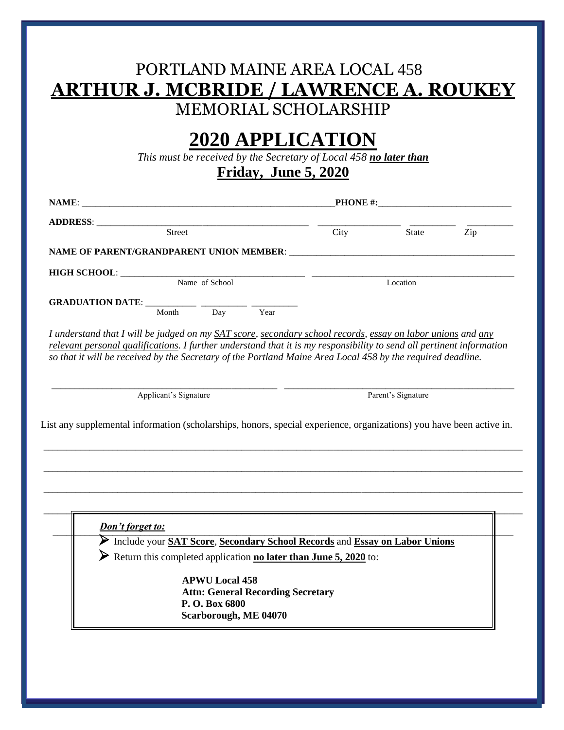### PORTLAND MAINE AREA LOCAL 458 **ARTHUR J. MCBRIDE / LAWRENCE A. ROUKEY** MEMORIAL SCHOLARSHIP

# **2020 APPLICATION**

*This must be received by the Secretary of Local 458 no later than*

**Friday, June 5, 2020**

|                                                                                                                                                                                                                                      |                       |                                          | $PHONE$ #: |                    |     |  |  |
|--------------------------------------------------------------------------------------------------------------------------------------------------------------------------------------------------------------------------------------|-----------------------|------------------------------------------|------------|--------------------|-----|--|--|
|                                                                                                                                                                                                                                      |                       |                                          |            |                    |     |  |  |
| Street                                                                                                                                                                                                                               |                       |                                          | City       | State              | Zip |  |  |
|                                                                                                                                                                                                                                      |                       |                                          |            |                    |     |  |  |
|                                                                                                                                                                                                                                      |                       |                                          |            |                    |     |  |  |
| HIGH SCHOOL: Name of School                                                                                                                                                                                                          |                       |                                          | Location   |                    |     |  |  |
| GRADUATION DATE: _____________ ________                                                                                                                                                                                              |                       |                                          |            |                    |     |  |  |
| Month                                                                                                                                                                                                                                | $\overline{Day}$      | Year                                     |            |                    |     |  |  |
|                                                                                                                                                                                                                                      |                       |                                          |            |                    |     |  |  |
| relevant personal qualifications. I further understand that it is my responsibility to send all pertinent information<br>so that it will be received by the Secretary of the Portland Maine Area Local 458 by the required deadline. |                       |                                          |            |                    |     |  |  |
|                                                                                                                                                                                                                                      |                       |                                          |            |                    |     |  |  |
|                                                                                                                                                                                                                                      |                       |                                          |            |                    |     |  |  |
| Applicant's Signature                                                                                                                                                                                                                |                       |                                          |            | Parent's Signature |     |  |  |
|                                                                                                                                                                                                                                      |                       |                                          |            |                    |     |  |  |
| Don't forget to:                                                                                                                                                                                                                     |                       |                                          |            |                    |     |  |  |
| Include your SAT Score, Secondary School Records and Essay on Labor Unions<br>Return this completed application <b>no later than June 5, 2020</b> to:                                                                                |                       |                                          |            |                    |     |  |  |
|                                                                                                                                                                                                                                      |                       |                                          |            |                    |     |  |  |
|                                                                                                                                                                                                                                      | <b>APWU Local 458</b> |                                          |            |                    |     |  |  |
| List any supplemental information (scholarships, honors, special experience, organizations) you have been active in.                                                                                                                 | P.O. Box 6800         | <b>Attn: General Recording Secretary</b> |            |                    |     |  |  |